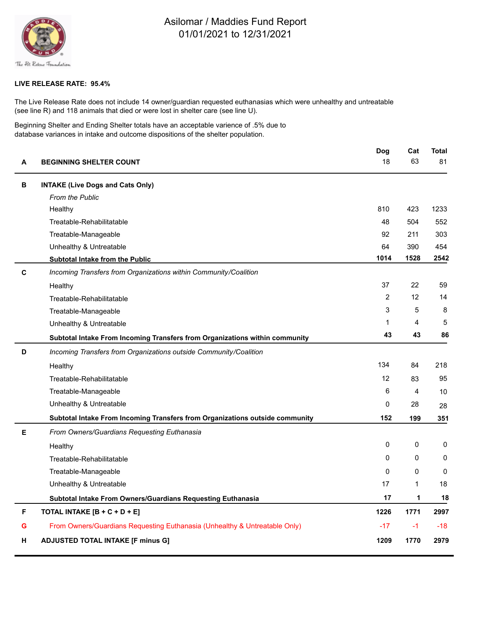

## Asilomar / Maddies Fund Report 01/01/2021 to 12/31/2021

## **LIVE RELEASE RATE: 95.4%**

The Live Release Rate does not include 14 owner/guardian requested euthanasias which were unhealthy and untreatable (see line R) and 118 animals that died or were lost in shelter care (see line U).

Beginning Shelter and Ending Shelter totals have an acceptable varience of .5% due to database variances in intake and outcome dispositions of the shelter population.

| A | <b>BEGINNING SHELTER COUNT</b>                                               | Dog            | Cat          | <b>Total</b> |
|---|------------------------------------------------------------------------------|----------------|--------------|--------------|
|   |                                                                              | 18             | 63           | 81           |
| В | <b>INTAKE (Live Dogs and Cats Only)</b>                                      |                |              |              |
|   | From the Public                                                              |                |              |              |
|   | Healthy                                                                      | 810            | 423          | 1233         |
|   | Treatable-Rehabilitatable                                                    | 48             | 504          | 552          |
|   | Treatable-Manageable                                                         | 92             | 211          | 303          |
|   | Unhealthy & Untreatable                                                      | 64             | 390          | 454          |
|   | <b>Subtotal Intake from the Public</b>                                       | 1014           | 1528         | 2542         |
| C | Incoming Transfers from Organizations within Community/Coalition             |                |              |              |
|   | Healthy                                                                      | 37             | 22           | 59           |
|   | Treatable-Rehabilitatable                                                    | $\overline{c}$ | 12           | 14           |
|   | Treatable-Manageable                                                         | 3              | 5            | 8            |
|   | Unhealthy & Untreatable                                                      | 1              | 4            | 5            |
|   | Subtotal Intake From Incoming Transfers from Organizations within community  | 43             | 43           | 86           |
| D | Incoming Transfers from Organizations outside Community/Coalition            |                |              |              |
|   | Healthy                                                                      | 134            | 84           | 218          |
|   | Treatable-Rehabilitatable                                                    | 12             | 83           | 95           |
|   | Treatable-Manageable                                                         | 6              | 4            | 10           |
|   | Unhealthy & Untreatable                                                      | 0              | 28           | 28           |
|   | Subtotal Intake From Incoming Transfers from Organizations outside community | 152            | 199          | 351          |
| Е | From Owners/Guardians Requesting Euthanasia                                  |                |              |              |
|   | Healthy                                                                      | $\mathbf{0}$   | $\Omega$     | 0            |
|   | Treatable-Rehabilitatable                                                    | 0              | $\Omega$     | 0            |
|   | Treatable-Manageable                                                         | 0              | $\Omega$     | 0            |
|   | Unhealthy & Untreatable                                                      | 17             | $\mathbf{1}$ | 18           |
|   | Subtotal Intake From Owners/Guardians Requesting Euthanasia                  | 17             | 1            | 18           |
| F | TOTAL INTAKE [B + C + D + E]                                                 | 1226           | 1771         | 2997         |
| G | From Owners/Guardians Requesting Euthanasia (Unhealthy & Untreatable Only)   | $-17$          | $-1$         | $-18$        |
| н | <b>ADJUSTED TOTAL INTAKE [F minus G]</b>                                     | 1209           | 1770         | 2979         |
|   |                                                                              |                |              |              |